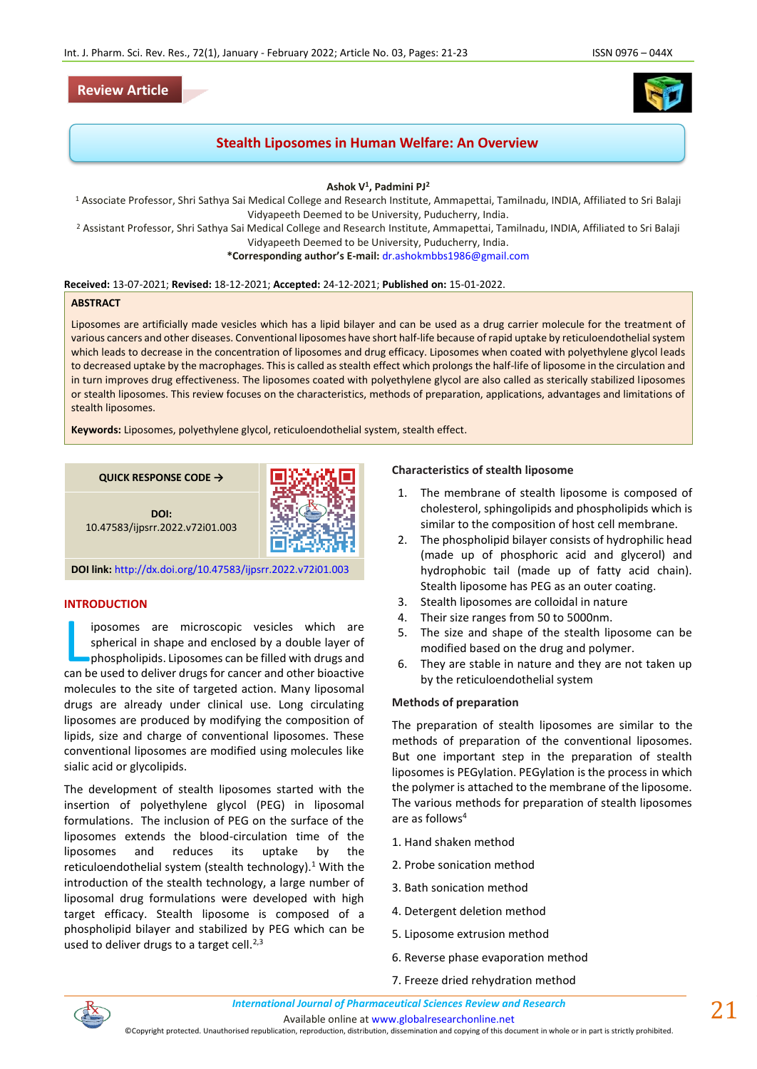# **Review Article**

# **Stealth Liposomes in Human Welfare: An Overview**

**Ashok V<sup>1</sup> , Padmini PJ<sup>2</sup>**

<sup>1</sup> Associate Professor, Shri Sathya Sai Medical College and Research Institute, Ammapettai, Tamilnadu, INDIA, Affiliated to Sri Balaji Vidyapeeth Deemed to be University, Puducherry, India.

<sup>2</sup> Assistant Professor, Shri Sathya Sai Medical College and Research Institute, Ammapettai, Tamilnadu, INDIA, Affiliated to Sri Balaji Vidyapeeth Deemed to be University, Puducherry, India.

**\*Corresponding author's E-mail:** [dr.ashokmbbs1986@gmail.com](mailto:dr.ashokmbbs1986@gmail.com)

#### **Received:** 13-07-2021; **Revised:** 18-12-2021; **Accepted:** 24-12-2021; **Published on:** 15-01-2022.

#### **ABSTRACT**

Liposomes are artificially made vesicles which has a lipid bilayer and can be used as a drug carrier molecule for the treatment of various cancers and other diseases. Conventional liposomes have short half-life because of rapid uptake by reticuloendothelial system which leads to decrease in the concentration of liposomes and drug efficacy. Liposomes when coated with polyethylene glycol leads to decreased uptake by the macrophages. This is called as stealth effect which prolongs the half-life of liposome in the circulation and in turn improves drug effectiveness. The liposomes coated with polyethylene glycol are also called as sterically stabilized liposomes or stealth liposomes. This review focuses on the characteristics, methods of preparation, applications, advantages and limitations of stealth liposomes.

**Keywords:** Liposomes, polyethylene glycol, reticuloendothelial system, stealth effect.

**QUICK RESPONSE CODE →**



**DOI:** 10.47583/ijpsrr.2022.v72i01.003

**DOI link:** <http://dx.doi.org/10.47583/ijpsrr.2022.v72i01.003>

# **INTRODUCTION**

iposomes are microscopic vesicles which are spherical in shape and enclosed by a double layer of phospholipids. Liposomes can be filled with drugs and iposomes are microscopic vesicles which are spherical in shape and enclosed by a double layer of phospholipids. Liposomes can be filled with drugs and can be used to deliver drugs for cancer and other bioactive molecules to the site of targeted action. Many liposomal drugs are already under clinical use. Long circulating liposomes are produced by modifying the composition of lipids, size and charge of conventional liposomes. These conventional liposomes are modified using molecules like sialic acid or glycolipids.

The development of stealth liposomes started with the insertion of polyethylene glycol (PEG) in liposomal formulations. The inclusion of PEG on the surface of the liposomes extends the blood-circulation time of the liposomes and reduces its uptake by the reticuloendothelial system (stealth technology).<sup>1</sup> With the introduction of the stealth technology, a large number of liposomal drug formulations were developed with high target efficacy. Stealth liposome is composed of a phospholipid bilayer and stabilized by PEG which can be used to deliver drugs to a target cell.<sup>2,3</sup>

#### **Characteristics of stealth liposome**

- 1. The membrane of stealth liposome is composed of cholesterol, sphingolipids and phospholipids which is similar to the composition of host cell membrane.
- 2. The phospholipid bilayer consists of hydrophilic head (made up of phosphoric acid and glycerol) and hydrophobic tail (made up of fatty acid chain). Stealth liposome has PEG as an outer coating.
- 3. Stealth liposomes are colloidal in nature
- 4. Their size ranges from 50 to 5000nm.
- 5. The size and shape of the stealth liposome can be modified based on the drug and polymer.
- 6. They are stable in nature and they are not taken up by the reticuloendothelial system

### **Methods of preparation**

The preparation of stealth liposomes are similar to the methods of preparation of the conventional liposomes. But one important step in the preparation of stealth liposomes is PEGylation. PEGylation is the process in which the polymer is attached to the membrane of the liposome. The various methods for preparation of stealth liposomes are as follows<sup>4</sup>

- 1. Hand shaken method
- 2. Probe sonication method
- 3. Bath sonication method
- 4. Detergent deletion method
- 5. Liposome extrusion method
- 6. Reverse phase evaporation method
- 7. Freeze dried rehydration method



©Copyright protected. Unauthorised republication, reproduction, distribution, dissemination and copying of this document in whole or in part is strictly prohibited.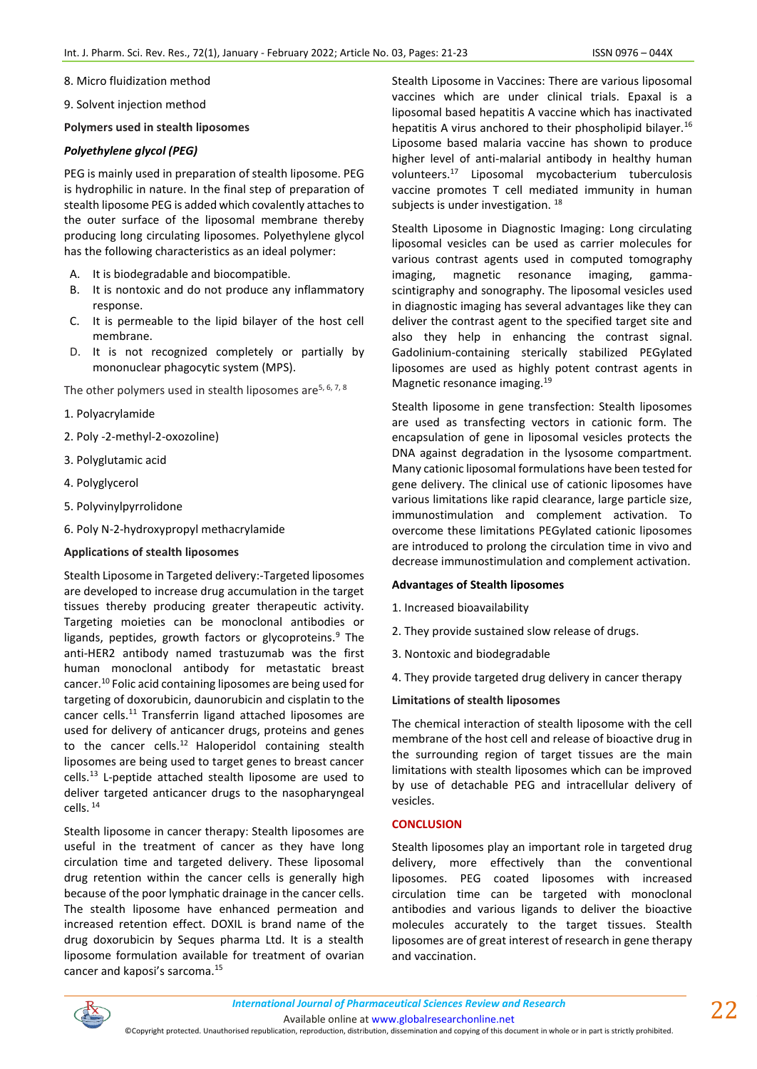8. Micro fluidization method

9. Solvent injection method

### **Polymers used in stealth liposomes**

# *Polyethylene glycol (PEG)*

PEG is mainly used in preparation of stealth liposome. PEG is hydrophilic in nature. In the final step of preparation of stealth liposome PEG is added which covalently attaches to the outer surface of the liposomal membrane thereby producing long circulating liposomes. Polyethylene glycol has the following characteristics as an ideal polymer:

- A. It is biodegradable and biocompatible.
- B. It is nontoxic and do not produce any inflammatory response.
- C. It is permeable to the lipid bilayer of the host cell membrane.
- D. It is not recognized completely or partially by mononuclear phagocytic system (MPS).

The other polymers used in stealth liposomes are<sup>5, 6, 7, 8</sup>

- 1. Polyacrylamide
- 2. Poly -2-methyl-2-oxozoline)
- 3. Polyglutamic acid
- 4. Polyglycerol
- 5. Polyvinylpyrrolidone
- 6. Poly N-2-hydroxypropyl methacrylamide

### **Applications of stealth liposomes**

Stealth Liposome in Targeted delivery:-Targeted liposomes are developed to increase drug accumulation in the target tissues thereby producing greater therapeutic activity. Targeting moieties can be monoclonal antibodies or ligands, peptides, growth factors or glycoproteins. $9$  The anti-HER2 antibody named trastuzumab was the first human monoclonal antibody for metastatic breast cancer.<sup>10</sup> Folic acid containing liposomes are being used for targeting of doxorubicin, daunorubicin and cisplatin to the cancer cells.<sup>11</sup> Transferrin ligand attached liposomes are used for delivery of anticancer drugs, proteins and genes to the cancer cells. $^{12}$  Haloperidol containing stealth liposomes are being used to target genes to breast cancer cells.<sup>13</sup> L-peptide attached stealth liposome are used to deliver targeted anticancer drugs to the nasopharyngeal cells. <sup>14</sup>

Stealth liposome in cancer therapy: Stealth liposomes are useful in the treatment of cancer as they have long circulation time and targeted delivery. These liposomal drug retention within the cancer cells is generally high because of the poor lymphatic drainage in the cancer cells. The stealth liposome have enhanced permeation and increased retention effect. DOXIL is brand name of the drug doxorubicin by Seques pharma Ltd. It is a stealth liposome formulation available for treatment of ovarian cancer and kaposi's sarcoma.<sup>15</sup>

Stealth Liposome in Vaccines: There are various liposomal vaccines which are under clinical trials. Epaxal is a liposomal based hepatitis A vaccine which has inactivated hepatitis A virus anchored to their phospholipid bilayer.<sup>16</sup> Liposome based malaria vaccine has shown to produce higher level of anti-malarial antibody in healthy human volunteers.<sup>17</sup> Liposomal mycobacterium tuberculosis vaccine promotes T cell mediated immunity in human subjects is under investigation.<sup>18</sup>

Stealth Liposome in Diagnostic Imaging: Long circulating liposomal vesicles can be used as carrier molecules for various contrast agents used in computed tomography imaging, magnetic resonance imaging, gammascintigraphy and sonography. The liposomal vesicles used in diagnostic imaging has several advantages like they can deliver the contrast agent to the specified target site and also they help in enhancing the contrast signal. Gadolinium-containing sterically stabilized PEGylated liposomes are used as highly potent contrast agents in Magnetic resonance imaging.<sup>19</sup>

Stealth liposome in gene transfection: Stealth liposomes are used as transfecting vectors in cationic form. The encapsulation of gene in liposomal vesicles protects the DNA against degradation in the lysosome compartment. Many cationic liposomal formulations have been tested for gene delivery. The clinical use of cationic liposomes have various limitations like rapid clearance, large particle size, immunostimulation and complement activation. To overcome these limitations PEGylated cationic liposomes are introduced to prolong the circulation time in vivo and decrease immunostimulation and complement activation.

### **Advantages of Stealth liposomes**

- 1. Increased bioavailability
- 2. They provide sustained slow release of drugs.
- 3. Nontoxic and biodegradable
- 4. They provide targeted drug delivery in cancer therapy

### **Limitations of stealth liposomes**

The chemical interaction of stealth liposome with the cell membrane of the host cell and release of bioactive drug in the surrounding region of target tissues are the main limitations with stealth liposomes which can be improved by use of detachable PEG and intracellular delivery of vesicles.

### **CONCLUSION**

Stealth liposomes play an important role in targeted drug delivery, more effectively than the conventional liposomes. PEG coated liposomes with increased circulation time can be targeted with monoclonal antibodies and various ligands to deliver the bioactive molecules accurately to the target tissues. Stealth liposomes are of great interest of research in gene therapy and vaccination.



Available online a[t www.globalresearchonline.net](http://www.globalresearchonline.net/)